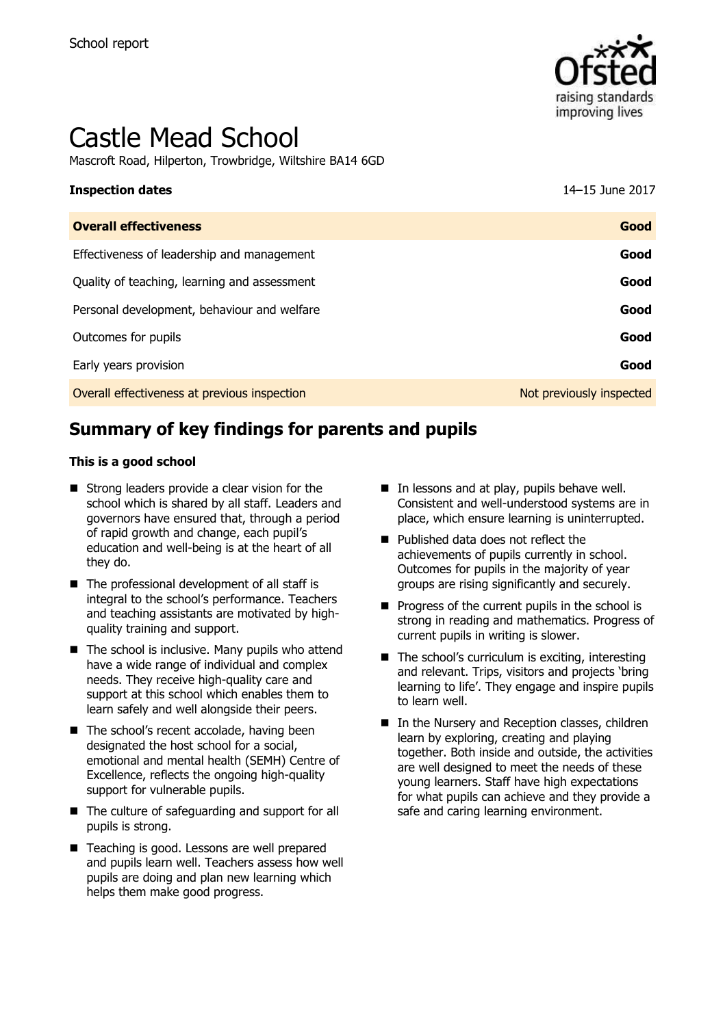

# Castle Mead School

Mascroft Road, Hilperton, Trowbridge, Wiltshire BA14 6GD

# **Inspection dates** 14–15 June 2017

| <b>Overall effectiveness</b>                 | Good                     |
|----------------------------------------------|--------------------------|
| Effectiveness of leadership and management   | Good                     |
| Quality of teaching, learning and assessment | Good                     |
| Personal development, behaviour and welfare  | Good                     |
| Outcomes for pupils                          | Good                     |
| Early years provision                        | Good                     |
| Overall effectiveness at previous inspection | Not previously inspected |

# **Summary of key findings for parents and pupils**

#### **This is a good school**

- Strong leaders provide a clear vision for the school which is shared by all staff. Leaders and governors have ensured that, through a period of rapid growth and change, each pupil's education and well-being is at the heart of all they do.
- The professional development of all staff is integral to the school's performance. Teachers and teaching assistants are motivated by highquality training and support.
- $\blacksquare$  The school is inclusive. Many pupils who attend have a wide range of individual and complex needs. They receive high-quality care and support at this school which enables them to learn safely and well alongside their peers.
- The school's recent accolade, having been designated the host school for a social, emotional and mental health (SEMH) Centre of Excellence, reflects the ongoing high-quality support for vulnerable pupils.
- The culture of safeguarding and support for all pupils is strong.
- Teaching is good. Lessons are well prepared and pupils learn well. Teachers assess how well pupils are doing and plan new learning which helps them make good progress.
- $\blacksquare$  In lessons and at play, pupils behave well. Consistent and well-understood systems are in place, which ensure learning is uninterrupted.
- Published data does not reflect the achievements of pupils currently in school. Outcomes for pupils in the majority of year groups are rising significantly and securely.
- $\blacksquare$  Progress of the current pupils in the school is strong in reading and mathematics. Progress of current pupils in writing is slower.
- $\blacksquare$  The school's curriculum is exciting, interesting and relevant. Trips, visitors and projects 'bring learning to life'. They engage and inspire pupils to learn well.
- In the Nursery and Reception classes, children learn by exploring, creating and playing together. Both inside and outside, the activities are well designed to meet the needs of these young learners. Staff have high expectations for what pupils can achieve and they provide a safe and caring learning environment.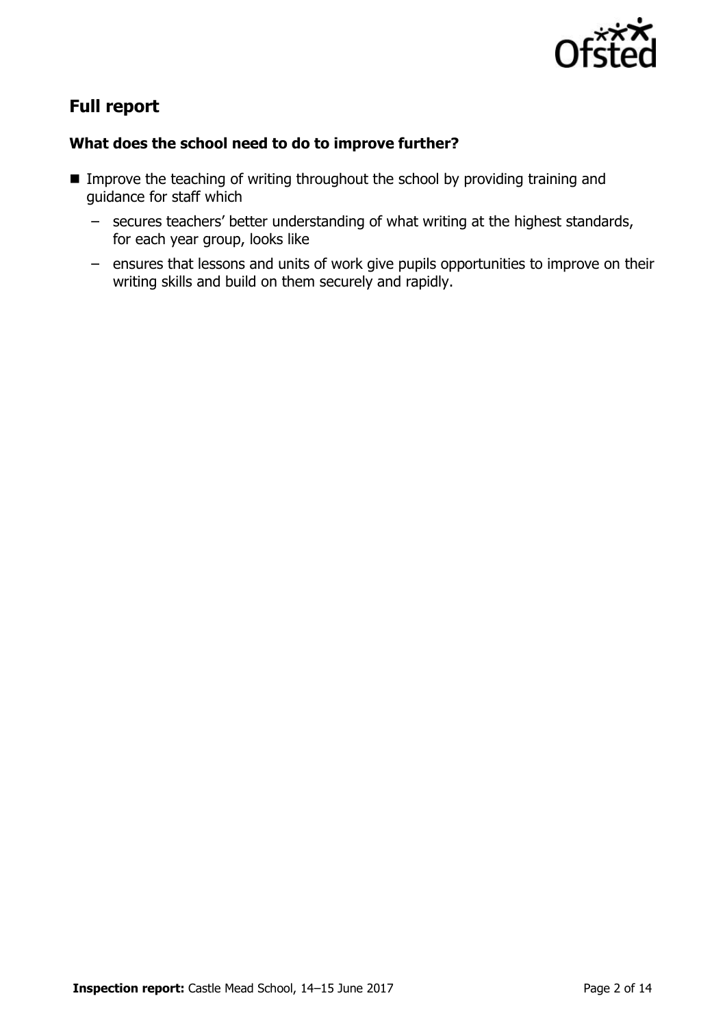

# **Full report**

#### **What does the school need to do to improve further?**

- **IMPROVE the teaching of writing throughout the school by providing training and** guidance for staff which
	- secures teachers' better understanding of what writing at the highest standards, for each year group, looks like
	- ensures that lessons and units of work give pupils opportunities to improve on their writing skills and build on them securely and rapidly.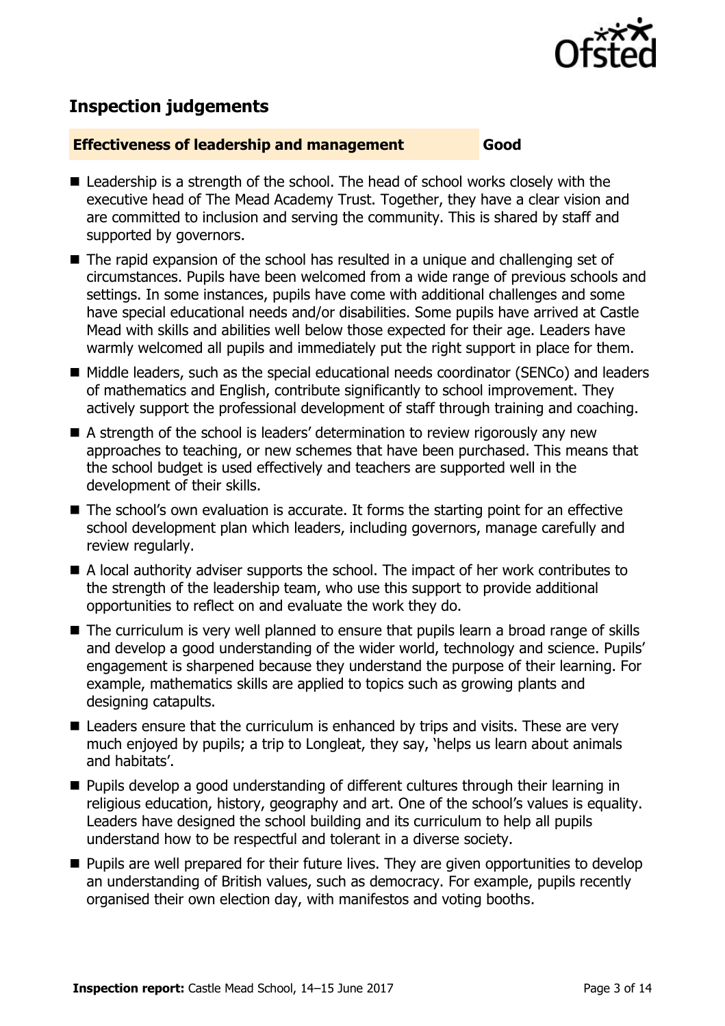

# **Inspection judgements**

#### **Effectiveness of leadership and management Good**

- Leadership is a strength of the school. The head of school works closely with the executive head of The Mead Academy Trust. Together, they have a clear vision and are committed to inclusion and serving the community. This is shared by staff and supported by governors.
- The rapid expansion of the school has resulted in a unique and challenging set of circumstances. Pupils have been welcomed from a wide range of previous schools and settings. In some instances, pupils have come with additional challenges and some have special educational needs and/or disabilities. Some pupils have arrived at Castle Mead with skills and abilities well below those expected for their age. Leaders have warmly welcomed all pupils and immediately put the right support in place for them.
- Middle leaders, such as the special educational needs coordinator (SENCo) and leaders of mathematics and English, contribute significantly to school improvement. They actively support the professional development of staff through training and coaching.
- A strength of the school is leaders' determination to review rigorously any new approaches to teaching, or new schemes that have been purchased. This means that the school budget is used effectively and teachers are supported well in the development of their skills.
- The school's own evaluation is accurate. It forms the starting point for an effective school development plan which leaders, including governors, manage carefully and review regularly.
- A local authority adviser supports the school. The impact of her work contributes to the strength of the leadership team, who use this support to provide additional opportunities to reflect on and evaluate the work they do.
- The curriculum is very well planned to ensure that pupils learn a broad range of skills and develop a good understanding of the wider world, technology and science. Pupils' engagement is sharpened because they understand the purpose of their learning. For example, mathematics skills are applied to topics such as growing plants and designing catapults.
- Leaders ensure that the curriculum is enhanced by trips and visits. These are very much enjoyed by pupils; a trip to Longleat, they say, 'helps us learn about animals and habitats'.
- **Pupils develop a good understanding of different cultures through their learning in** religious education, history, geography and art. One of the school's values is equality. Leaders have designed the school building and its curriculum to help all pupils understand how to be respectful and tolerant in a diverse society.
- **Pupils are well prepared for their future lives. They are given opportunities to develop** an understanding of British values, such as democracy. For example, pupils recently organised their own election day, with manifestos and voting booths.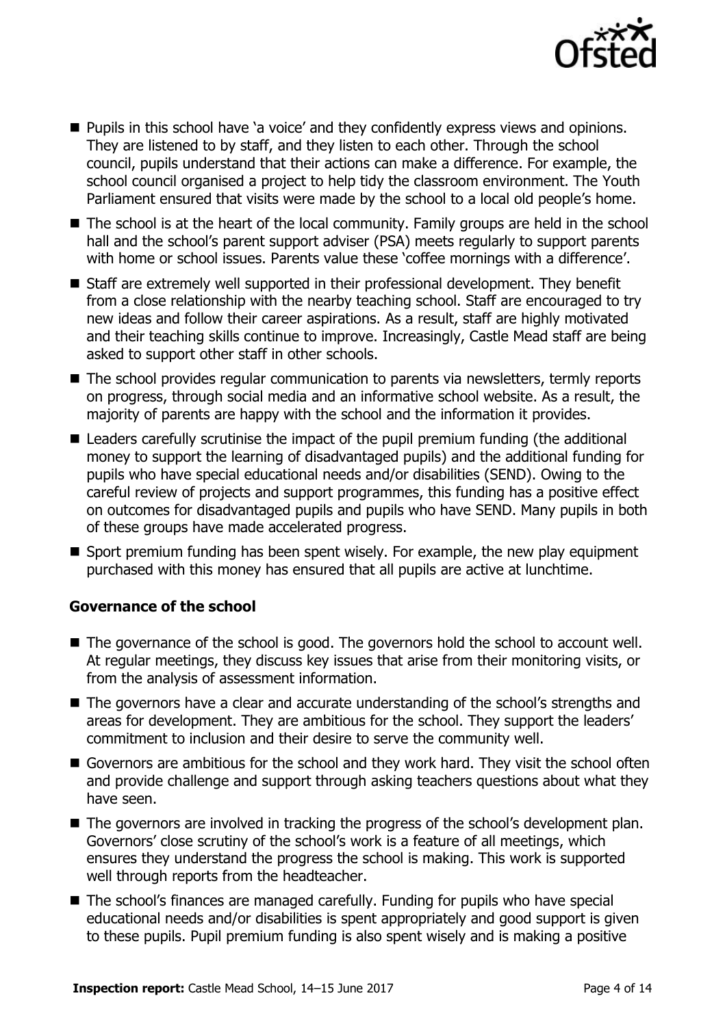

- **Pupils in this school have 'a voice' and they confidently express views and opinions.** They are listened to by staff, and they listen to each other. Through the school council, pupils understand that their actions can make a difference. For example, the school council organised a project to help tidy the classroom environment. The Youth Parliament ensured that visits were made by the school to a local old people's home.
- The school is at the heart of the local community. Family groups are held in the school hall and the school's parent support adviser (PSA) meets regularly to support parents with home or school issues. Parents value these 'coffee mornings with a difference'.
- Staff are extremely well supported in their professional development. They benefit from a close relationship with the nearby teaching school. Staff are encouraged to try new ideas and follow their career aspirations. As a result, staff are highly motivated and their teaching skills continue to improve. Increasingly, Castle Mead staff are being asked to support other staff in other schools.
- The school provides regular communication to parents via newsletters, termly reports on progress, through social media and an informative school website. As a result, the majority of parents are happy with the school and the information it provides.
- Leaders carefully scrutinise the impact of the pupil premium funding (the additional money to support the learning of disadvantaged pupils) and the additional funding for pupils who have special educational needs and/or disabilities (SEND). Owing to the careful review of projects and support programmes, this funding has a positive effect on outcomes for disadvantaged pupils and pupils who have SEND. Many pupils in both of these groups have made accelerated progress.
- Sport premium funding has been spent wisely. For example, the new play equipment purchased with this money has ensured that all pupils are active at lunchtime.

#### **Governance of the school**

- The governance of the school is good. The governors hold the school to account well. At regular meetings, they discuss key issues that arise from their monitoring visits, or from the analysis of assessment information.
- The governors have a clear and accurate understanding of the school's strengths and areas for development. They are ambitious for the school. They support the leaders' commitment to inclusion and their desire to serve the community well.
- Governors are ambitious for the school and they work hard. They visit the school often and provide challenge and support through asking teachers questions about what they have seen.
- The governors are involved in tracking the progress of the school's development plan. Governors' close scrutiny of the school's work is a feature of all meetings, which ensures they understand the progress the school is making. This work is supported well through reports from the headteacher.
- The school's finances are managed carefully. Funding for pupils who have special educational needs and/or disabilities is spent appropriately and good support is given to these pupils. Pupil premium funding is also spent wisely and is making a positive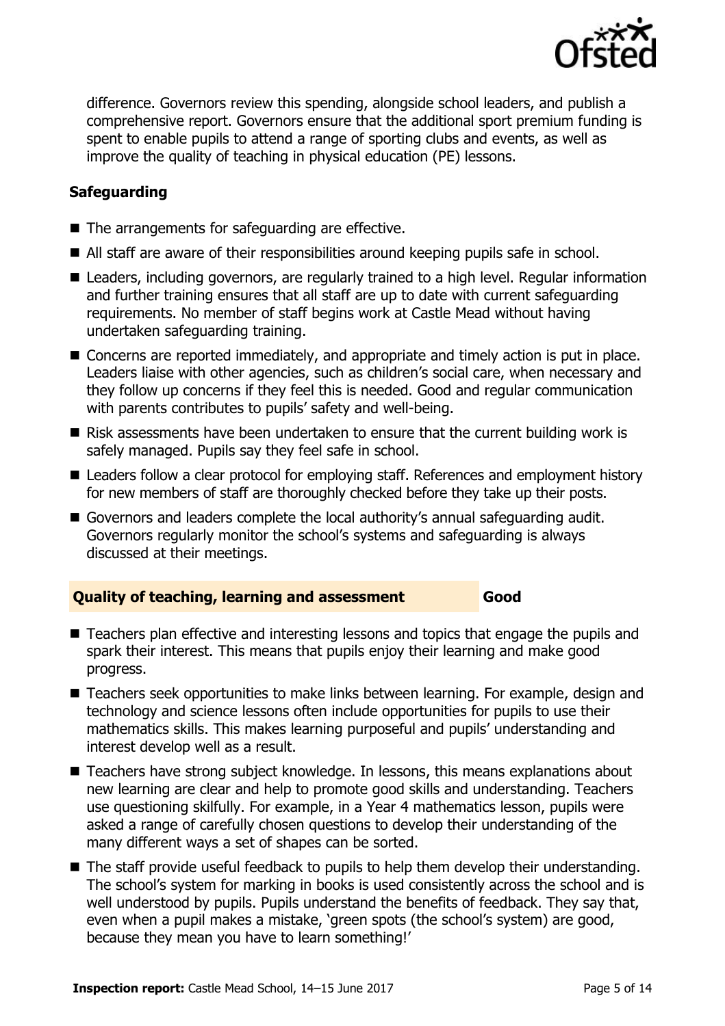

difference. Governors review this spending, alongside school leaders, and publish a comprehensive report. Governors ensure that the additional sport premium funding is spent to enable pupils to attend a range of sporting clubs and events, as well as improve the quality of teaching in physical education (PE) lessons.

### **Safeguarding**

- $\blacksquare$  The arrangements for safeguarding are effective.
- All staff are aware of their responsibilities around keeping pupils safe in school.
- Leaders, including governors, are regularly trained to a high level. Regular information and further training ensures that all staff are up to date with current safeguarding requirements. No member of staff begins work at Castle Mead without having undertaken safeguarding training.
- Concerns are reported immediately, and appropriate and timely action is put in place. Leaders liaise with other agencies, such as children's social care, when necessary and they follow up concerns if they feel this is needed. Good and regular communication with parents contributes to pupils' safety and well-being.
- Risk assessments have been undertaken to ensure that the current building work is safely managed. Pupils say they feel safe in school.
- Leaders follow a clear protocol for employing staff. References and employment history for new members of staff are thoroughly checked before they take up their posts.
- Governors and leaders complete the local authority's annual safeguarding audit. Governors regularly monitor the school's systems and safeguarding is always discussed at their meetings.

#### **Quality of teaching, learning and assessment Good**

- Teachers plan effective and interesting lessons and topics that engage the pupils and spark their interest. This means that pupils enjoy their learning and make good progress.
- Teachers seek opportunities to make links between learning. For example, design and technology and science lessons often include opportunities for pupils to use their mathematics skills. This makes learning purposeful and pupils' understanding and interest develop well as a result.
- Teachers have strong subject knowledge. In lessons, this means explanations about new learning are clear and help to promote good skills and understanding. Teachers use questioning skilfully. For example, in a Year 4 mathematics lesson, pupils were asked a range of carefully chosen questions to develop their understanding of the many different ways a set of shapes can be sorted.
- The staff provide useful feedback to pupils to help them develop their understanding. The school's system for marking in books is used consistently across the school and is well understood by pupils. Pupils understand the benefits of feedback. They say that, even when a pupil makes a mistake, 'green spots (the school's system) are good, because they mean you have to learn something!'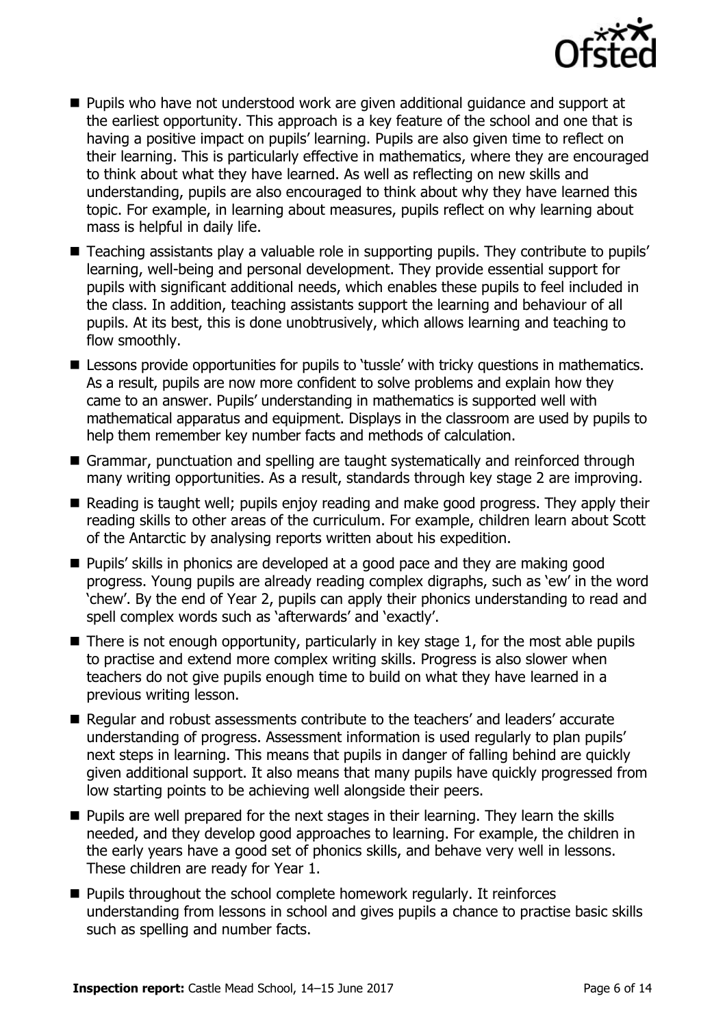

- **Pupils who have not understood work are given additional guidance and support at** the earliest opportunity. This approach is a key feature of the school and one that is having a positive impact on pupils' learning. Pupils are also given time to reflect on their learning. This is particularly effective in mathematics, where they are encouraged to think about what they have learned. As well as reflecting on new skills and understanding, pupils are also encouraged to think about why they have learned this topic. For example, in learning about measures, pupils reflect on why learning about mass is helpful in daily life.
- Teaching assistants play a valuable role in supporting pupils. They contribute to pupils' learning, well-being and personal development. They provide essential support for pupils with significant additional needs, which enables these pupils to feel included in the class. In addition, teaching assistants support the learning and behaviour of all pupils. At its best, this is done unobtrusively, which allows learning and teaching to flow smoothly.
- **E** Lessons provide opportunities for pupils to 'tussle' with tricky questions in mathematics. As a result, pupils are now more confident to solve problems and explain how they came to an answer. Pupils' understanding in mathematics is supported well with mathematical apparatus and equipment. Displays in the classroom are used by pupils to help them remember key number facts and methods of calculation.
- Grammar, punctuation and spelling are taught systematically and reinforced through many writing opportunities. As a result, standards through key stage 2 are improving.
- Reading is taught well; pupils enjoy reading and make good progress. They apply their reading skills to other areas of the curriculum. For example, children learn about Scott of the Antarctic by analysing reports written about his expedition.
- **Pupils' skills in phonics are developed at a good pace and they are making good** progress. Young pupils are already reading complex digraphs, such as 'ew' in the word 'chew'. By the end of Year 2, pupils can apply their phonics understanding to read and spell complex words such as 'afterwards' and 'exactly'.
- $\blacksquare$  There is not enough opportunity, particularly in key stage 1, for the most able pupils to practise and extend more complex writing skills. Progress is also slower when teachers do not give pupils enough time to build on what they have learned in a previous writing lesson.
- Regular and robust assessments contribute to the teachers' and leaders' accurate understanding of progress. Assessment information is used regularly to plan pupils' next steps in learning. This means that pupils in danger of falling behind are quickly given additional support. It also means that many pupils have quickly progressed from low starting points to be achieving well alongside their peers.
- **Pupils are well prepared for the next stages in their learning. They learn the skills** needed, and they develop good approaches to learning. For example, the children in the early years have a good set of phonics skills, and behave very well in lessons. These children are ready for Year 1.
- Pupils throughout the school complete homework regularly. It reinforces understanding from lessons in school and gives pupils a chance to practise basic skills such as spelling and number facts.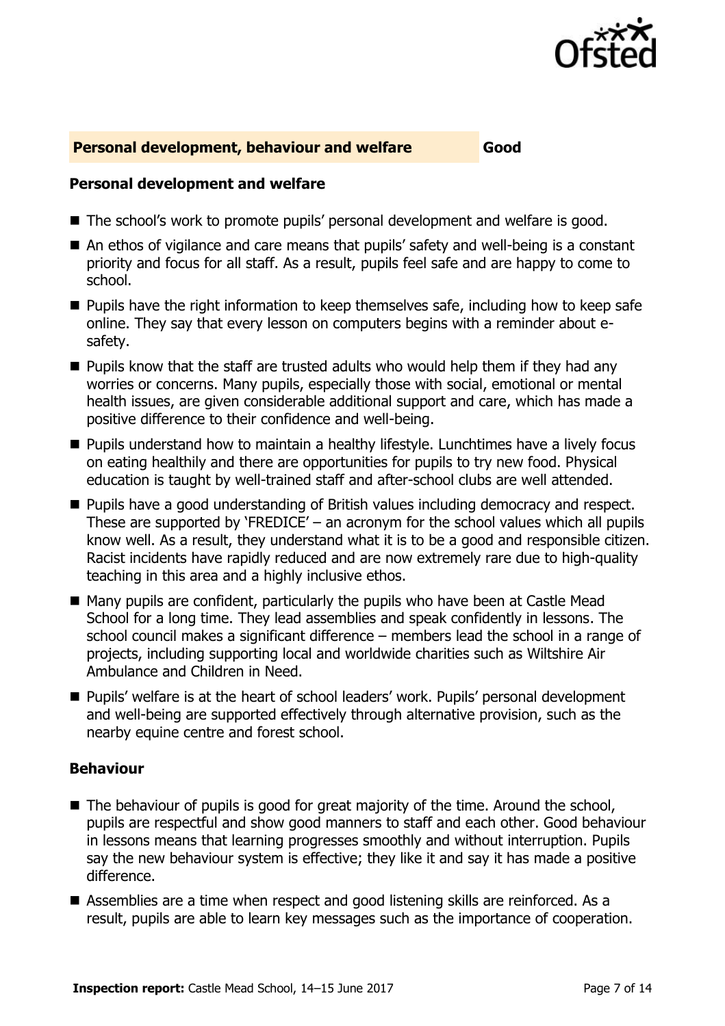

#### **Personal development, behaviour and welfare Good**

#### **Personal development and welfare**

- The school's work to promote pupils' personal development and welfare is good.
- An ethos of vigilance and care means that pupils' safety and well-being is a constant priority and focus for all staff. As a result, pupils feel safe and are happy to come to school.
- **Pupils have the right information to keep themselves safe, including how to keep safe** online. They say that every lesson on computers begins with a reminder about esafety.
- $\blacksquare$  Pupils know that the staff are trusted adults who would help them if they had any worries or concerns. Many pupils, especially those with social, emotional or mental health issues, are given considerable additional support and care, which has made a positive difference to their confidence and well-being.
- **Pupils understand how to maintain a healthy lifestyle. Lunchtimes have a lively focus** on eating healthily and there are opportunities for pupils to try new food. Physical education is taught by well-trained staff and after-school clubs are well attended.
- **Pupils have a good understanding of British values including democracy and respect.** These are supported by 'FREDICE' – an acronym for the school values which all pupils know well. As a result, they understand what it is to be a good and responsible citizen. Racist incidents have rapidly reduced and are now extremely rare due to high-quality teaching in this area and a highly inclusive ethos.
- Many pupils are confident, particularly the pupils who have been at Castle Mead School for a long time. They lead assemblies and speak confidently in lessons. The school council makes a significant difference – members lead the school in a range of projects, including supporting local and worldwide charities such as Wiltshire Air Ambulance and Children in Need.
- Pupils' welfare is at the heart of school leaders' work. Pupils' personal development and well-being are supported effectively through alternative provision, such as the nearby equine centre and forest school.

#### **Behaviour**

- $\blacksquare$  The behaviour of pupils is good for great majority of the time. Around the school, pupils are respectful and show good manners to staff and each other. Good behaviour in lessons means that learning progresses smoothly and without interruption. Pupils say the new behaviour system is effective; they like it and say it has made a positive difference.
- Assemblies are a time when respect and good listening skills are reinforced. As a result, pupils are able to learn key messages such as the importance of cooperation.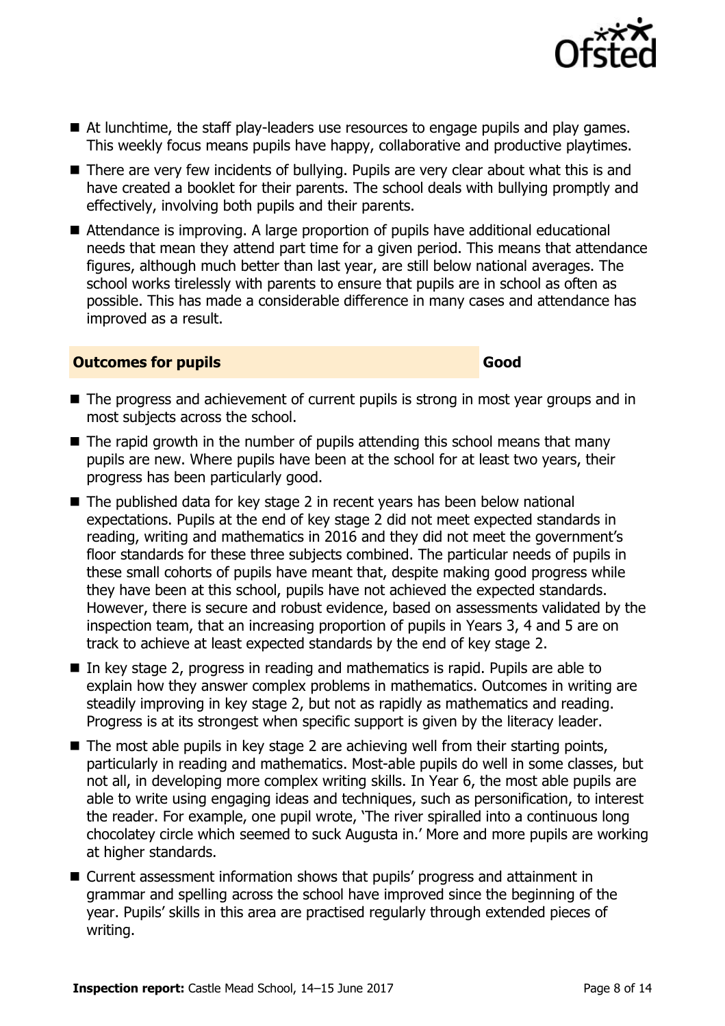

- There are very few incidents of bullying. Pupils are very clear about what this is and have created a booklet for their parents. The school deals with bullying promptly and effectively, involving both pupils and their parents.
- Attendance is improving. A large proportion of pupils have additional educational needs that mean they attend part time for a given period. This means that attendance figures, although much better than last year, are still below national averages. The school works tirelessly with parents to ensure that pupils are in school as often as possible. This has made a considerable difference in many cases and attendance has improved as a result.

#### **Outcomes for pupils Good**

- The progress and achievement of current pupils is strong in most year groups and in most subjects across the school.
- $\blacksquare$  The rapid growth in the number of pupils attending this school means that many pupils are new. Where pupils have been at the school for at least two years, their progress has been particularly good.
- The published data for key stage 2 in recent years has been below national expectations. Pupils at the end of key stage 2 did not meet expected standards in reading, writing and mathematics in 2016 and they did not meet the government's floor standards for these three subjects combined. The particular needs of pupils in these small cohorts of pupils have meant that, despite making good progress while they have been at this school, pupils have not achieved the expected standards. However, there is secure and robust evidence, based on assessments validated by the inspection team, that an increasing proportion of pupils in Years 3, 4 and 5 are on track to achieve at least expected standards by the end of key stage 2.
- $\blacksquare$  In key stage 2, progress in reading and mathematics is rapid. Pupils are able to explain how they answer complex problems in mathematics. Outcomes in writing are steadily improving in key stage 2, but not as rapidly as mathematics and reading. Progress is at its strongest when specific support is given by the literacy leader.
- The most able pupils in key stage 2 are achieving well from their starting points, particularly in reading and mathematics. Most-able pupils do well in some classes, but not all, in developing more complex writing skills. In Year 6, the most able pupils are able to write using engaging ideas and techniques, such as personification, to interest the reader. For example, one pupil wrote, 'The river spiralled into a continuous long chocolatey circle which seemed to suck Augusta in.' More and more pupils are working at higher standards.
- Current assessment information shows that pupils' progress and attainment in grammar and spelling across the school have improved since the beginning of the year. Pupils' skills in this area are practised regularly through extended pieces of writing.

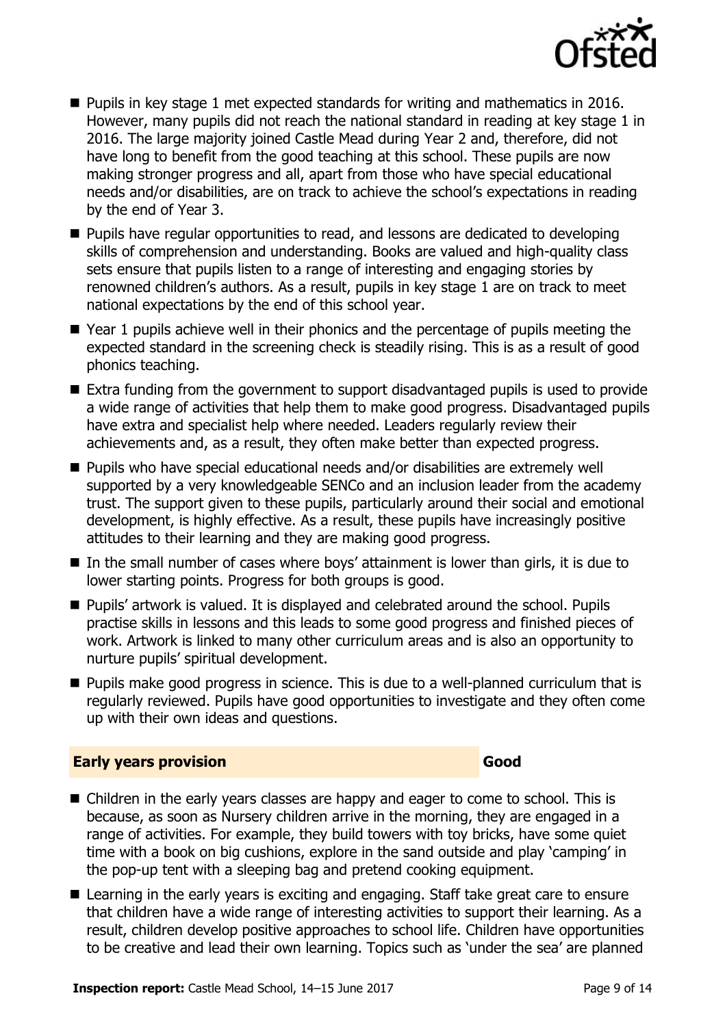

- **Pupils in key stage 1 met expected standards for writing and mathematics in 2016.** However, many pupils did not reach the national standard in reading at key stage 1 in 2016. The large majority joined Castle Mead during Year 2 and, therefore, did not have long to benefit from the good teaching at this school. These pupils are now making stronger progress and all, apart from those who have special educational needs and/or disabilities, are on track to achieve the school's expectations in reading by the end of Year 3.
- **Pupils have regular opportunities to read, and lessons are dedicated to developing** skills of comprehension and understanding. Books are valued and high-quality class sets ensure that pupils listen to a range of interesting and engaging stories by renowned children's authors. As a result, pupils in key stage 1 are on track to meet national expectations by the end of this school year.
- Year 1 pupils achieve well in their phonics and the percentage of pupils meeting the expected standard in the screening check is steadily rising. This is as a result of good phonics teaching.
- Extra funding from the government to support disadvantaged pupils is used to provide a wide range of activities that help them to make good progress. Disadvantaged pupils have extra and specialist help where needed. Leaders regularly review their achievements and, as a result, they often make better than expected progress.
- Pupils who have special educational needs and/or disabilities are extremely well supported by a very knowledgeable SENCo and an inclusion leader from the academy trust. The support given to these pupils, particularly around their social and emotional development, is highly effective. As a result, these pupils have increasingly positive attitudes to their learning and they are making good progress.
- In the small number of cases where boys' attainment is lower than girls, it is due to lower starting points. Progress for both groups is good.
- Pupils' artwork is valued. It is displayed and celebrated around the school. Pupils practise skills in lessons and this leads to some good progress and finished pieces of work. Artwork is linked to many other curriculum areas and is also an opportunity to nurture pupils' spiritual development.
- **Pupils make good progress in science. This is due to a well-planned curriculum that is** regularly reviewed. Pupils have good opportunities to investigate and they often come up with their own ideas and questions.

#### **Early years provision Good Good**

- Children in the early years classes are happy and eager to come to school. This is because, as soon as Nursery children arrive in the morning, they are engaged in a range of activities. For example, they build towers with toy bricks, have some quiet time with a book on big cushions, explore in the sand outside and play 'camping' in the pop-up tent with a sleeping bag and pretend cooking equipment.
- Learning in the early years is exciting and engaging. Staff take great care to ensure that children have a wide range of interesting activities to support their learning. As a result, children develop positive approaches to school life. Children have opportunities to be creative and lead their own learning. Topics such as 'under the sea' are planned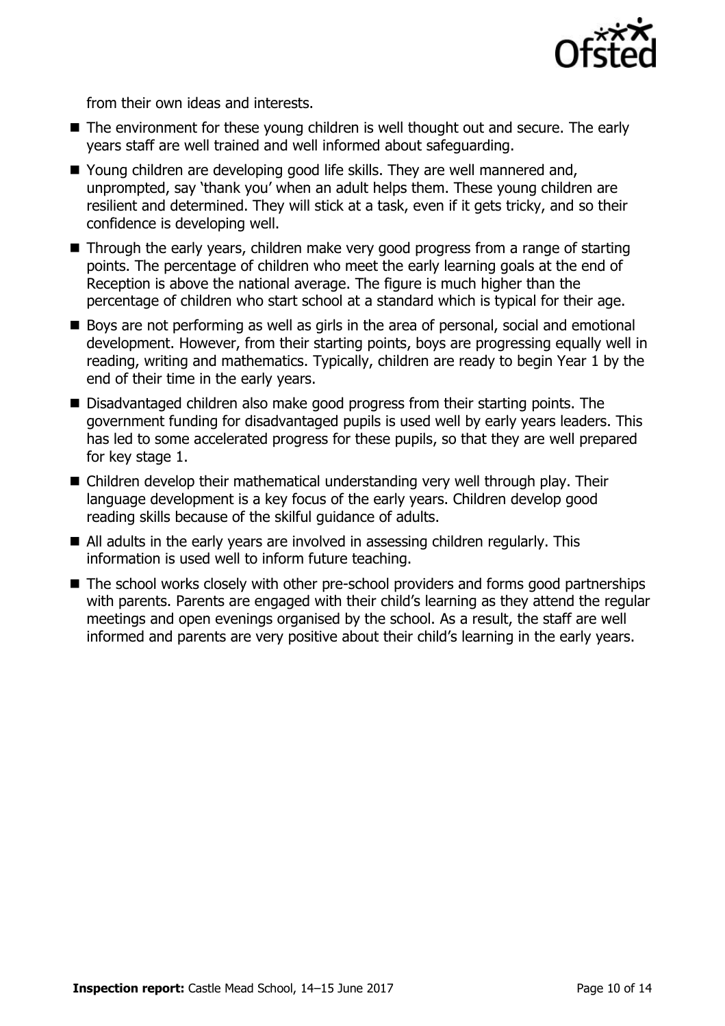

from their own ideas and interests.

- The environment for these young children is well thought out and secure. The early years staff are well trained and well informed about safeguarding.
- Young children are developing good life skills. They are well mannered and, unprompted, say 'thank you' when an adult helps them. These young children are resilient and determined. They will stick at a task, even if it gets tricky, and so their confidence is developing well.
- Through the early years, children make very good progress from a range of starting points. The percentage of children who meet the early learning goals at the end of Reception is above the national average. The figure is much higher than the percentage of children who start school at a standard which is typical for their age.
- Boys are not performing as well as girls in the area of personal, social and emotional development. However, from their starting points, boys are progressing equally well in reading, writing and mathematics. Typically, children are ready to begin Year 1 by the end of their time in the early years.
- Disadvantaged children also make good progress from their starting points. The government funding for disadvantaged pupils is used well by early years leaders. This has led to some accelerated progress for these pupils, so that they are well prepared for key stage 1.
- Children develop their mathematical understanding very well through play. Their language development is a key focus of the early years. Children develop good reading skills because of the skilful guidance of adults.
- All adults in the early years are involved in assessing children regularly. This information is used well to inform future teaching.
- The school works closely with other pre-school providers and forms good partnerships with parents. Parents are engaged with their child's learning as they attend the regular meetings and open evenings organised by the school. As a result, the staff are well informed and parents are very positive about their child's learning in the early years.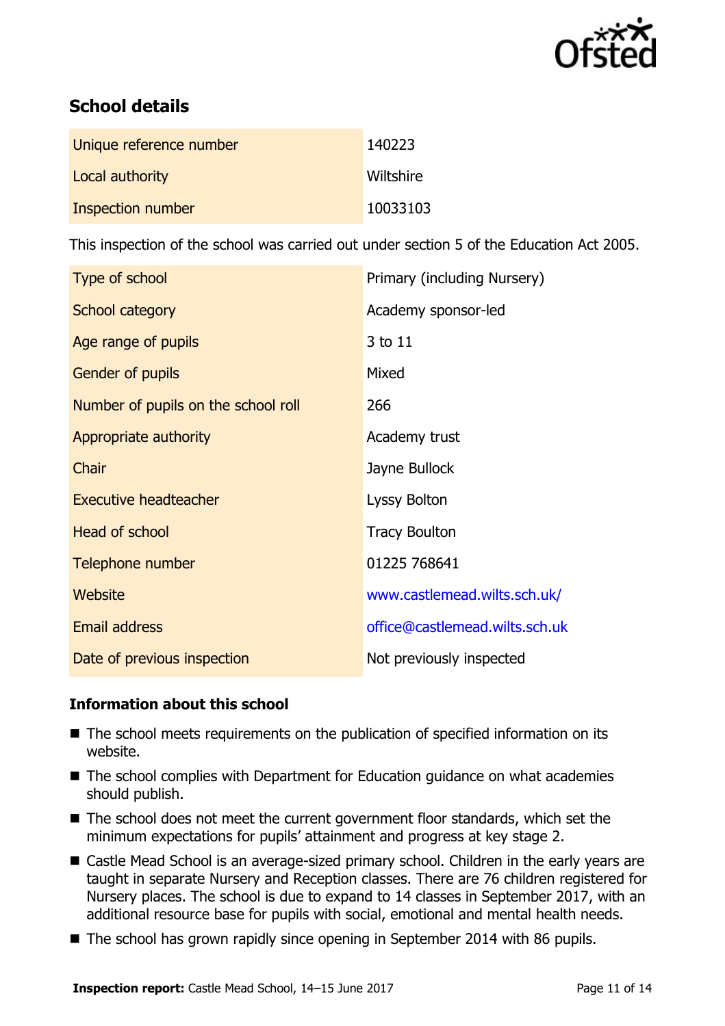

# **School details**

| Unique reference number | 140223    |
|-------------------------|-----------|
| Local authority         | Wiltshire |
| Inspection number       | 10033103  |

This inspection of the school was carried out under section 5 of the Education Act 2005.

| Type of school                      | Primary (including Nursery)    |
|-------------------------------------|--------------------------------|
| School category                     | Academy sponsor-led            |
| Age range of pupils                 | 3 to 11                        |
| Gender of pupils                    | Mixed                          |
| Number of pupils on the school roll | 266                            |
| Appropriate authority               | Academy trust                  |
| Chair                               | Jayne Bullock                  |
| <b>Executive headteacher</b>        | Lyssy Bolton                   |
| Head of school                      | <b>Tracy Boulton</b>           |
| Telephone number                    | 01225 768641                   |
| Website                             | www.castlemead.wilts.sch.uk/   |
| Email address                       | office@castlemead.wilts.sch.uk |
| Date of previous inspection         | Not previously inspected       |

#### **Information about this school**

- The school meets requirements on the publication of specified information on its website.
- The school complies with Department for Education guidance on what academies should publish.
- The school does not meet the current government floor standards, which set the minimum expectations for pupils' attainment and progress at key stage 2.
- Castle Mead School is an average-sized primary school. Children in the early years are taught in separate Nursery and Reception classes. There are 76 children registered for Nursery places. The school is due to expand to 14 classes in September 2017, with an additional resource base for pupils with social, emotional and mental health needs.
- The school has grown rapidly since opening in September 2014 with 86 pupils.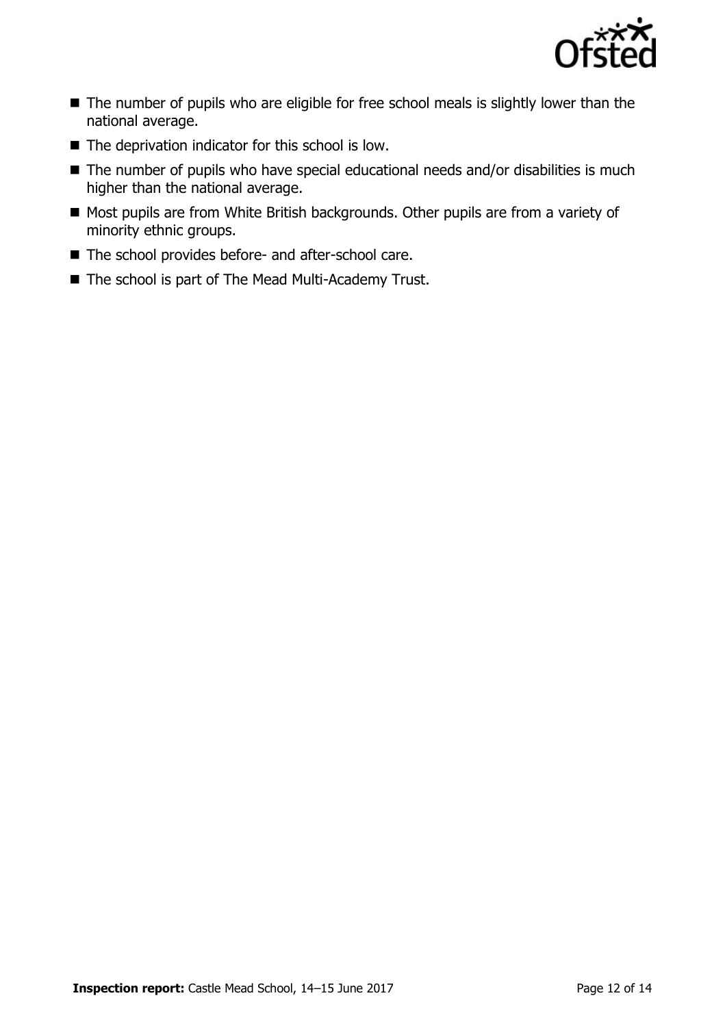

- The number of pupils who are eligible for free school meals is slightly lower than the national average.
- $\blacksquare$  The deprivation indicator for this school is low.
- The number of pupils who have special educational needs and/or disabilities is much higher than the national average.
- Most pupils are from White British backgrounds. Other pupils are from a variety of minority ethnic groups.
- The school provides before- and after-school care.
- The school is part of The Mead Multi-Academy Trust.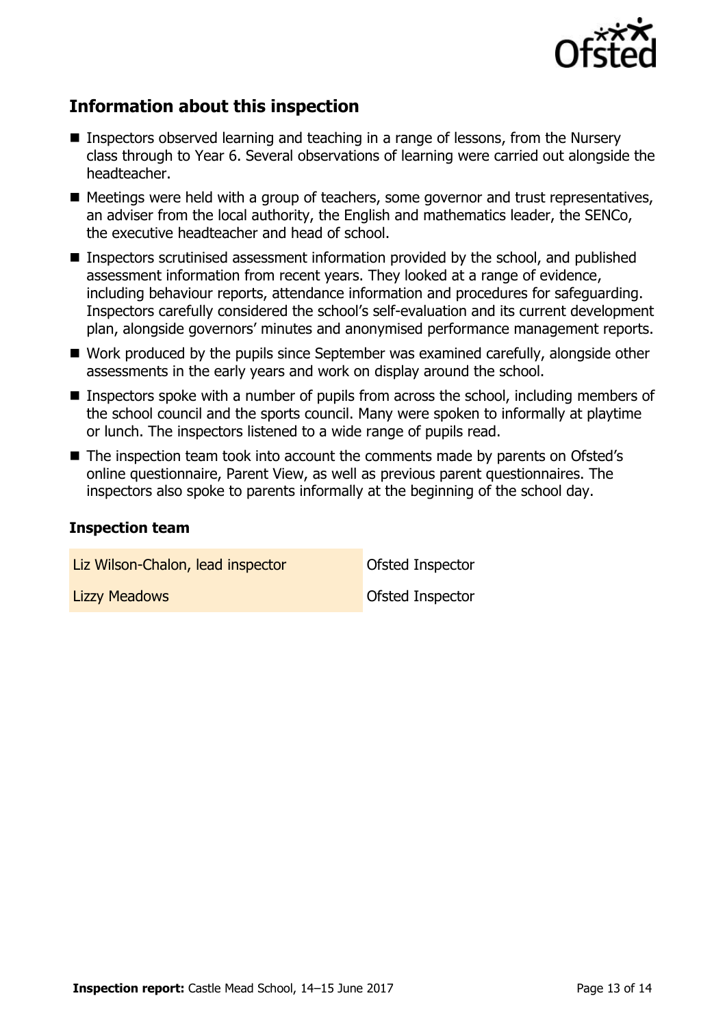

# **Information about this inspection**

- Inspectors observed learning and teaching in a range of lessons, from the Nursery class through to Year 6. Several observations of learning were carried out alongside the headteacher.
- Meetings were held with a group of teachers, some governor and trust representatives, an adviser from the local authority, the English and mathematics leader, the SENCo, the executive headteacher and head of school.
- Inspectors scrutinised assessment information provided by the school, and published assessment information from recent years. They looked at a range of evidence, including behaviour reports, attendance information and procedures for safeguarding. Inspectors carefully considered the school's self-evaluation and its current development plan, alongside governors' minutes and anonymised performance management reports.
- Work produced by the pupils since September was examined carefully, alongside other assessments in the early years and work on display around the school.
- **Inspectors spoke with a number of pupils from across the school, including members of** the school council and the sports council. Many were spoken to informally at playtime or lunch. The inspectors listened to a wide range of pupils read.
- The inspection team took into account the comments made by parents on Ofsted's online questionnaire, Parent View, as well as previous parent questionnaires. The inspectors also spoke to parents informally at the beginning of the school day.

#### **Inspection team**

| Liz Wilson-Chalon, lead inspector | Ofsted Inspector        |
|-----------------------------------|-------------------------|
| <b>Lizzy Meadows</b>              | <b>Ofsted Inspector</b> |